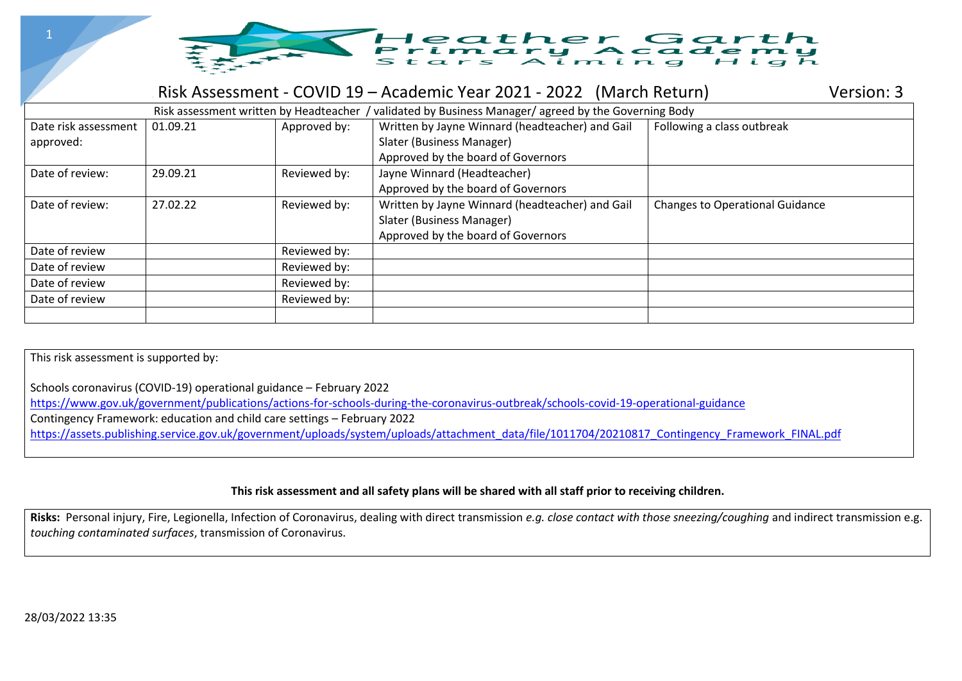

## Risk Assessment - COVID 19 – Academic Year 2021 - 2022 (March Return) Version: 3

|                      | Risk assessment written by Headteacher / |              | validated by Business Manager/agreed by the Governing Body |                                        |
|----------------------|------------------------------------------|--------------|------------------------------------------------------------|----------------------------------------|
| Date risk assessment | 01.09.21                                 | Approved by: | Written by Jayne Winnard (headteacher) and Gail            | Following a class outbreak             |
| approved:            |                                          |              | Slater (Business Manager)                                  |                                        |
|                      |                                          |              | Approved by the board of Governors                         |                                        |
| Date of review:      | 29.09.21                                 | Reviewed by: | Jayne Winnard (Headteacher)                                |                                        |
|                      |                                          |              | Approved by the board of Governors                         |                                        |
| Date of review:      | 27.02.22                                 | Reviewed by: | Written by Jayne Winnard (headteacher) and Gail            | <b>Changes to Operational Guidance</b> |
|                      |                                          |              | Slater (Business Manager)                                  |                                        |
|                      |                                          |              | Approved by the board of Governors                         |                                        |
| Date of review       |                                          | Reviewed by: |                                                            |                                        |
| Date of review       |                                          | Reviewed by: |                                                            |                                        |
| Date of review       |                                          | Reviewed by: |                                                            |                                        |
| Date of review       |                                          | Reviewed by: |                                                            |                                        |
|                      |                                          |              |                                                            |                                        |

This risk assessment is supported by:

Schools coronavirus (COVID-19) operational guidance – February 2022

<https://www.gov.uk/government/publications/actions-for-schools-during-the-coronavirus-outbreak/schools-covid-19-operational-guidance>

Contingency Framework: education and child care settings – February 2022

[https://assets.publishing.service.gov.uk/government/uploads/system/uploads/attachment\\_data/file/1011704/20210817\\_Contingency\\_Framework\\_FINAL.pdf](https://assets.publishing.service.gov.uk/government/uploads/system/uploads/attachment_data/file/1011704/20210817_Contingency_Framework_FINAL.pdf)

## **This risk assessment and all safety plans will be shared with all staff prior to receiving children.**

**Risks:** Personal injury, Fire, Legionella, Infection of Coronavirus, dealing with direct transmission *e.g. close contact with those sneezing/coughing* and indirect transmission e.g. *touching contaminated surfaces*, transmission of Coronavirus.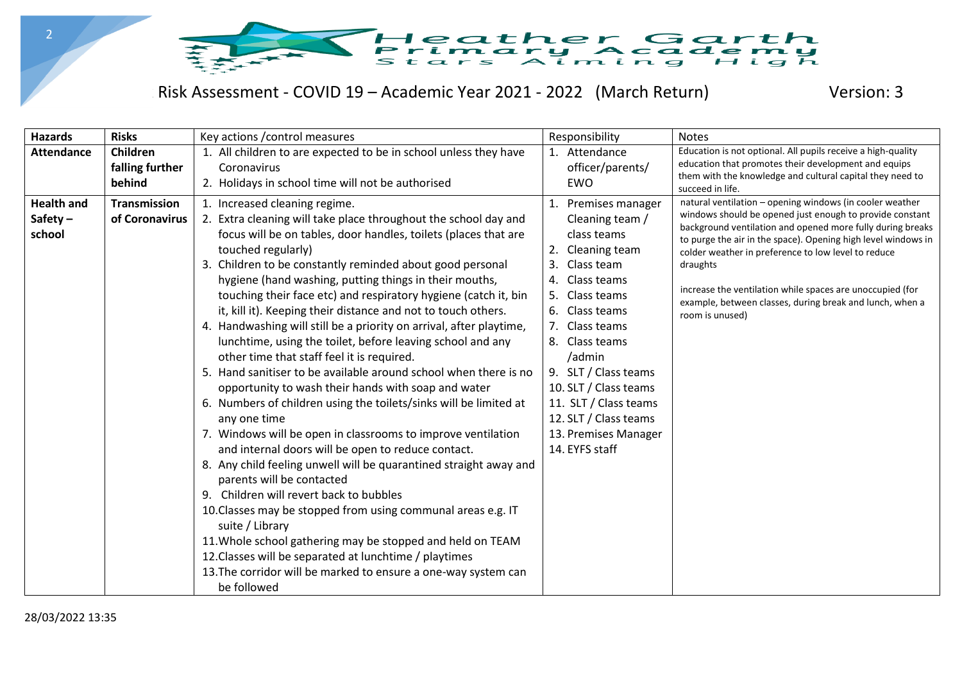

## Risk Assessment - COVID 19 – Academic Year 2021 - 2022 (March Return) Version: 3

| <b>Hazards</b>                            | <b>Risks</b>                          | Key actions / control measures                                                                                                                                                                                                                                                                                                                                                                                                                                                                                                                                                                                                                                                                                                                                                                                                                                                                                                                                                                                                                                                                                                                                                                                                                                                                                                        | Responsibility                                                                                                                                                                                                                                                                                                                                                      | <b>Notes</b>                                                                                                                                                                                                                                                                                                                                                                                                                                                       |
|-------------------------------------------|---------------------------------------|---------------------------------------------------------------------------------------------------------------------------------------------------------------------------------------------------------------------------------------------------------------------------------------------------------------------------------------------------------------------------------------------------------------------------------------------------------------------------------------------------------------------------------------------------------------------------------------------------------------------------------------------------------------------------------------------------------------------------------------------------------------------------------------------------------------------------------------------------------------------------------------------------------------------------------------------------------------------------------------------------------------------------------------------------------------------------------------------------------------------------------------------------------------------------------------------------------------------------------------------------------------------------------------------------------------------------------------|---------------------------------------------------------------------------------------------------------------------------------------------------------------------------------------------------------------------------------------------------------------------------------------------------------------------------------------------------------------------|--------------------------------------------------------------------------------------------------------------------------------------------------------------------------------------------------------------------------------------------------------------------------------------------------------------------------------------------------------------------------------------------------------------------------------------------------------------------|
| <b>Attendance</b>                         | Children<br>falling further<br>behind | 1. All children to are expected to be in school unless they have<br>Coronavirus<br>2. Holidays in school time will not be authorised                                                                                                                                                                                                                                                                                                                                                                                                                                                                                                                                                                                                                                                                                                                                                                                                                                                                                                                                                                                                                                                                                                                                                                                                  | Attendance<br>1.<br>officer/parents/<br>EWO                                                                                                                                                                                                                                                                                                                         | Education is not optional. All pupils receive a high-quality<br>education that promotes their development and equips<br>them with the knowledge and cultural capital they need to<br>succeed in life.                                                                                                                                                                                                                                                              |
| <b>Health and</b><br>Safety $-$<br>school | <b>Transmission</b><br>of Coronavirus | 1. Increased cleaning regime.<br>2. Extra cleaning will take place throughout the school day and<br>focus will be on tables, door handles, toilets (places that are<br>touched regularly)<br>3. Children to be constantly reminded about good personal<br>hygiene (hand washing, putting things in their mouths,<br>touching their face etc) and respiratory hygiene (catch it, bin<br>it, kill it). Keeping their distance and not to touch others.<br>4. Handwashing will still be a priority on arrival, after playtime,<br>lunchtime, using the toilet, before leaving school and any<br>other time that staff feel it is required.<br>5. Hand sanitiser to be available around school when there is no<br>opportunity to wash their hands with soap and water<br>6. Numbers of children using the toilets/sinks will be limited at<br>any one time<br>7. Windows will be open in classrooms to improve ventilation<br>and internal doors will be open to reduce contact.<br>8. Any child feeling unwell will be quarantined straight away and<br>parents will be contacted<br>9. Children will revert back to bubbles<br>10. Classes may be stopped from using communal areas e.g. IT<br>suite / Library<br>11. Whole school gathering may be stopped and held on TEAM<br>12. Classes will be separated at lunchtime / playtimes | Premises manager<br>1.<br>Cleaning team /<br>class teams<br>Cleaning team<br>2.<br>Class team<br>3.<br>Class teams<br>4.<br>5.<br>Class teams<br>Class teams<br>6.<br>7.<br>Class teams<br>Class teams<br>8.<br>/admin<br>9. SLT / Class teams<br>10. SLT / Class teams<br>11. SLT / Class teams<br>12. SLT / Class teams<br>13. Premises Manager<br>14. EYFS staff | natural ventilation - opening windows (in cooler weather<br>windows should be opened just enough to provide constant<br>background ventilation and opened more fully during breaks<br>to purge the air in the space). Opening high level windows in<br>colder weather in preference to low level to reduce<br>draughts<br>increase the ventilation while spaces are unoccupied (for<br>example, between classes, during break and lunch, when a<br>room is unused) |
|                                           |                                       | 13. The corridor will be marked to ensure a one-way system can<br>be followed                                                                                                                                                                                                                                                                                                                                                                                                                                                                                                                                                                                                                                                                                                                                                                                                                                                                                                                                                                                                                                                                                                                                                                                                                                                         |                                                                                                                                                                                                                                                                                                                                                                     |                                                                                                                                                                                                                                                                                                                                                                                                                                                                    |

2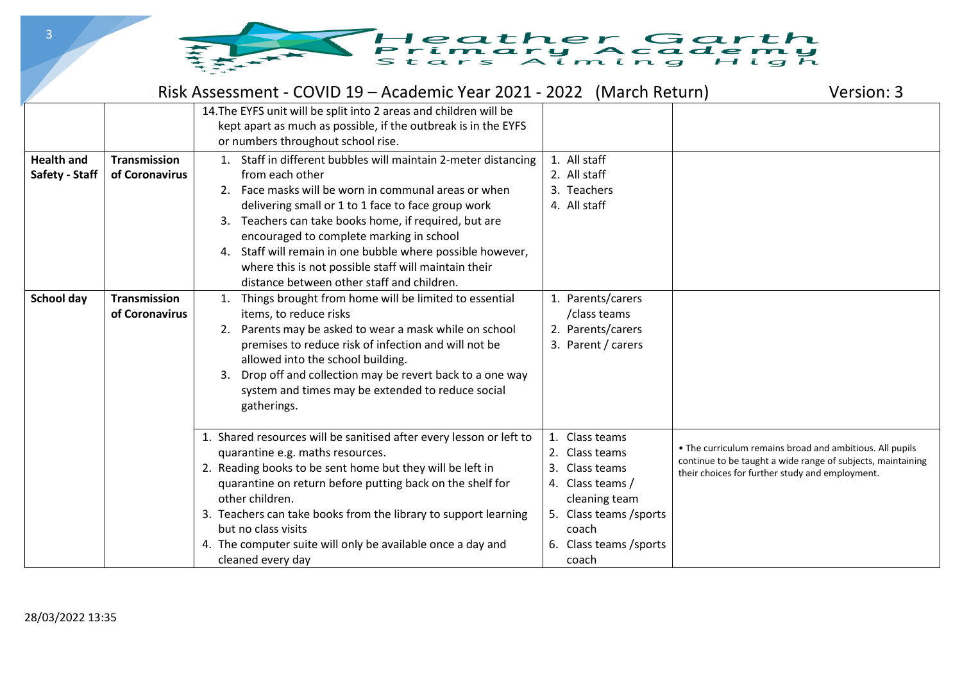

|                                     |                                       | Risk Assessment - COVID 19 – Academic Year 2021 - 2022 (March Return)                                                                                                                                                                                                                                                                                                                                                                                                       |                                                                                                                                                              | Version: 3                                                                                                                                                                 |
|-------------------------------------|---------------------------------------|-----------------------------------------------------------------------------------------------------------------------------------------------------------------------------------------------------------------------------------------------------------------------------------------------------------------------------------------------------------------------------------------------------------------------------------------------------------------------------|--------------------------------------------------------------------------------------------------------------------------------------------------------------|----------------------------------------------------------------------------------------------------------------------------------------------------------------------------|
|                                     |                                       | 14. The EYFS unit will be split into 2 areas and children will be<br>kept apart as much as possible, if the outbreak is in the EYFS<br>or numbers throughout school rise.                                                                                                                                                                                                                                                                                                   |                                                                                                                                                              |                                                                                                                                                                            |
| <b>Health and</b><br>Safety - Staff | <b>Transmission</b><br>of Coronavirus | 1. Staff in different bubbles will maintain 2-meter distancing<br>from each other<br>2. Face masks will be worn in communal areas or when<br>delivering small or 1 to 1 face to face group work<br>Teachers can take books home, if required, but are<br>3.<br>encouraged to complete marking in school<br>4. Staff will remain in one bubble where possible however,<br>where this is not possible staff will maintain their<br>distance between other staff and children. | 1. All staff<br>2. All staff<br>3. Teachers<br>4. All staff                                                                                                  |                                                                                                                                                                            |
| School day                          | <b>Transmission</b><br>of Coronavirus | Things brought from home will be limited to essential<br>1.<br>items, to reduce risks<br>Parents may be asked to wear a mask while on school<br>2.<br>premises to reduce risk of infection and will not be<br>allowed into the school building.<br>Drop off and collection may be revert back to a one way<br>3.<br>system and times may be extended to reduce social<br>gatherings.                                                                                        | 1. Parents/carers<br>/class teams<br>2. Parents/carers<br>3. Parent / carers                                                                                 |                                                                                                                                                                            |
|                                     |                                       | 1. Shared resources will be sanitised after every lesson or left to<br>quarantine e.g. maths resources.<br>2. Reading books to be sent home but they will be left in<br>quarantine on return before putting back on the shelf for<br>other children.<br>3. Teachers can take books from the library to support learning<br>but no class visits<br>4. The computer suite will only be available once a day and<br>cleaned every day                                          | 1. Class teams<br>2. Class teams<br>Class teams<br>4. Class teams /<br>cleaning team<br>5. Class teams / sports<br>coach<br>6. Class teams / sports<br>coach | . The curriculum remains broad and ambitious. All pupils<br>continue to be taught a wide range of subjects, maintaining<br>their choices for further study and employment. |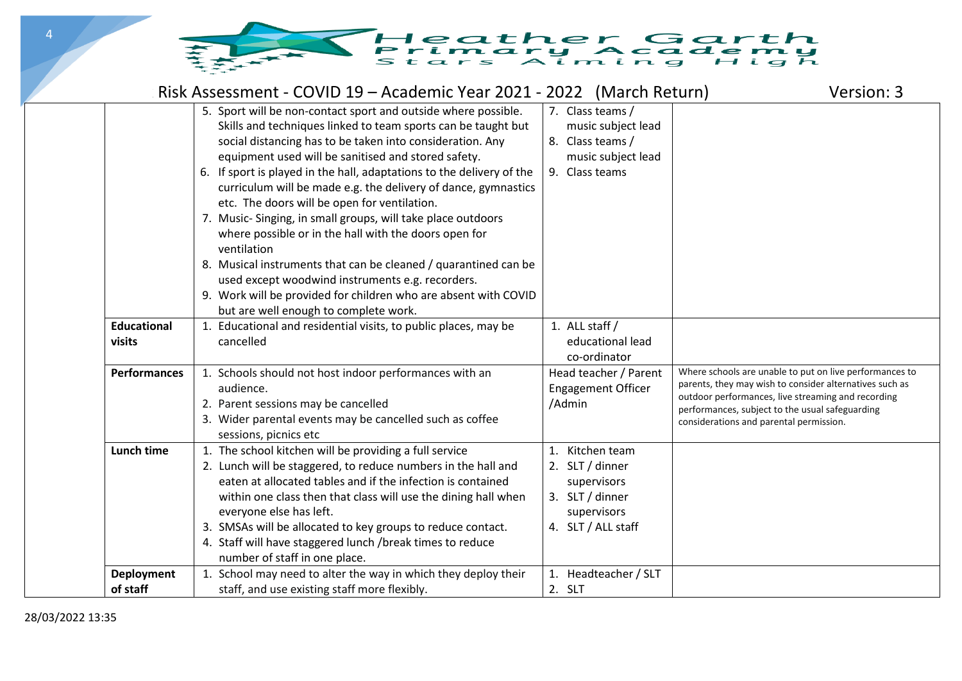## Heather Garth<br>Primary Academy

|                               | Risk Assessment - COVID 19 – Academic Year 2021 - 2022 (March Return)                                                                                                                                                                                                                                                                                                                                                                                                                                                                                                                                                                                                                                                                                                           |                                                                                                           | Version: 3                                                                                                                                                                                                                                                             |
|-------------------------------|---------------------------------------------------------------------------------------------------------------------------------------------------------------------------------------------------------------------------------------------------------------------------------------------------------------------------------------------------------------------------------------------------------------------------------------------------------------------------------------------------------------------------------------------------------------------------------------------------------------------------------------------------------------------------------------------------------------------------------------------------------------------------------|-----------------------------------------------------------------------------------------------------------|------------------------------------------------------------------------------------------------------------------------------------------------------------------------------------------------------------------------------------------------------------------------|
|                               | 5. Sport will be non-contact sport and outside where possible.<br>Skills and techniques linked to team sports can be taught but<br>social distancing has to be taken into consideration. Any<br>equipment used will be sanitised and stored safety.<br>6. If sport is played in the hall, adaptations to the delivery of the<br>curriculum will be made e.g. the delivery of dance, gymnastics<br>etc. The doors will be open for ventilation.<br>7. Music-Singing, in small groups, will take place outdoors<br>where possible or in the hall with the doors open for<br>ventilation<br>8. Musical instruments that can be cleaned / quarantined can be<br>used except woodwind instruments e.g. recorders.<br>9. Work will be provided for children who are absent with COVID | 7. Class teams /<br>music subject lead<br>8. Class teams /<br>music subject lead<br>9. Class teams        |                                                                                                                                                                                                                                                                        |
| <b>Educational</b><br>visits  | but are well enough to complete work.<br>1. Educational and residential visits, to public places, may be<br>cancelled                                                                                                                                                                                                                                                                                                                                                                                                                                                                                                                                                                                                                                                           | 1. ALL staff /<br>educational lead<br>co-ordinator                                                        |                                                                                                                                                                                                                                                                        |
| <b>Performances</b>           | 1. Schools should not host indoor performances with an<br>audience.<br>2. Parent sessions may be cancelled<br>3. Wider parental events may be cancelled such as coffee<br>sessions, picnics etc                                                                                                                                                                                                                                                                                                                                                                                                                                                                                                                                                                                 | Head teacher / Parent<br><b>Engagement Officer</b><br>/Admin                                              | Where schools are unable to put on live performances to<br>parents, they may wish to consider alternatives such as<br>outdoor performances, live streaming and recording<br>performances, subject to the usual safeguarding<br>considerations and parental permission. |
| <b>Lunch time</b>             | 1. The school kitchen will be providing a full service<br>2. Lunch will be staggered, to reduce numbers in the hall and<br>eaten at allocated tables and if the infection is contained<br>within one class then that class will use the dining hall when<br>everyone else has left.<br>3. SMSAs will be allocated to key groups to reduce contact.<br>4. Staff will have staggered lunch /break times to reduce<br>number of staff in one place.                                                                                                                                                                                                                                                                                                                                | 1. Kitchen team<br>2. SLT / dinner<br>supervisors<br>3. SLT / dinner<br>supervisors<br>4. SLT / ALL staff |                                                                                                                                                                                                                                                                        |
| <b>Deployment</b><br>of staff | 1. School may need to alter the way in which they deploy their<br>staff, and use existing staff more flexibly.                                                                                                                                                                                                                                                                                                                                                                                                                                                                                                                                                                                                                                                                  | 1. Headteacher / SLT<br>2. SLT                                                                            |                                                                                                                                                                                                                                                                        |

 $\Delta$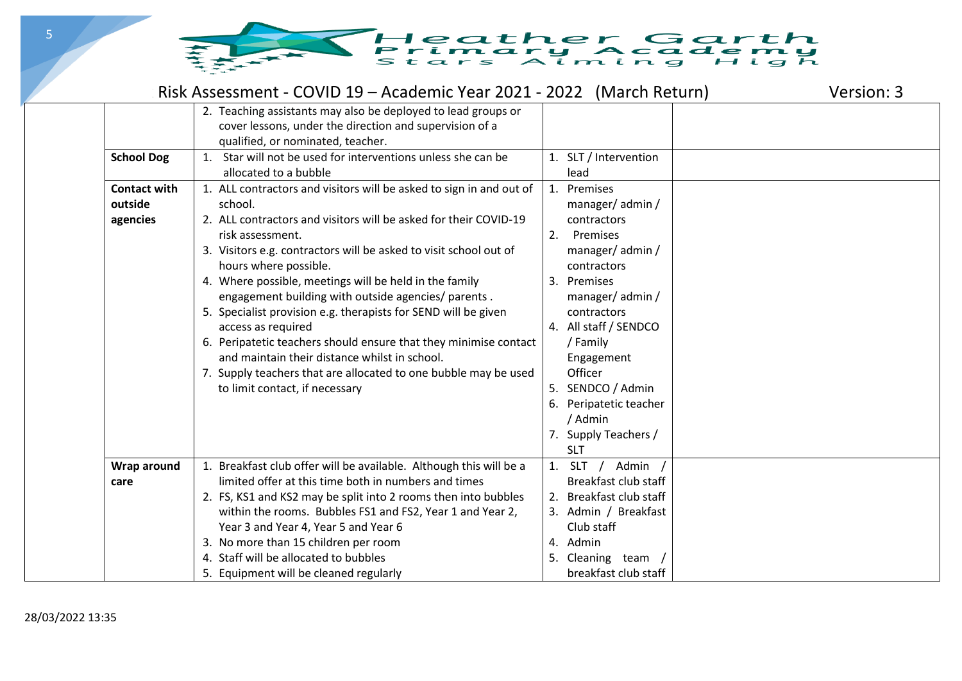

|                     | Risk Assessment - COVID 19 – Academic Year 2021 - 2022 (March Return) |                         | Version: 3 |
|---------------------|-----------------------------------------------------------------------|-------------------------|------------|
|                     | 2. Teaching assistants may also be deployed to lead groups or         |                         |            |
|                     | cover lessons, under the direction and supervision of a               |                         |            |
|                     | qualified, or nominated, teacher.                                     |                         |            |
| <b>School Dog</b>   | 1. Star will not be used for interventions unless she can be          | 1. SLT / Intervention   |            |
|                     | allocated to a bubble                                                 | lead                    |            |
| <b>Contact with</b> | 1. ALL contractors and visitors will be asked to sign in and out of   | 1. Premises             |            |
| outside             | school.                                                               | manager/admin/          |            |
| agencies            | 2. ALL contractors and visitors will be asked for their COVID-19      | contractors             |            |
|                     | risk assessment.                                                      | Premises<br>2.          |            |
|                     | 3. Visitors e.g. contractors will be asked to visit school out of     | manager/admin/          |            |
|                     | hours where possible.                                                 | contractors             |            |
|                     | 4. Where possible, meetings will be held in the family                | 3. Premises             |            |
|                     | engagement building with outside agencies/ parents.                   | manager/admin/          |            |
|                     | 5. Specialist provision e.g. therapists for SEND will be given        | contractors             |            |
|                     | access as required                                                    | 4. All staff / SENDCO   |            |
|                     | 6. Peripatetic teachers should ensure that they minimise contact      | / Family                |            |
|                     | and maintain their distance whilst in school.                         | Engagement              |            |
|                     | 7. Supply teachers that are allocated to one bubble may be used       | Officer                 |            |
|                     | to limit contact, if necessary                                        | 5. SENDCO / Admin       |            |
|                     |                                                                       | 6. Peripatetic teacher  |            |
|                     |                                                                       | / Admin                 |            |
|                     |                                                                       | 7. Supply Teachers /    |            |
|                     |                                                                       | <b>SLT</b>              |            |
| Wrap around         | 1. Breakfast club offer will be available. Although this will be a    | 1. SLT<br>/ Admin /     |            |
| care                | limited offer at this time both in numbers and times                  | Breakfast club staff    |            |
|                     | 2. FS, KS1 and KS2 may be split into 2 rooms then into bubbles        | 2. Breakfast club staff |            |
|                     | within the rooms. Bubbles FS1 and FS2, Year 1 and Year 2,             | 3. Admin / Breakfast    |            |
|                     | Year 3 and Year 4, Year 5 and Year 6                                  | Club staff              |            |
|                     | 3. No more than 15 children per room                                  | 4. Admin                |            |
|                     | 4. Staff will be allocated to bubbles                                 | 5. Cleaning team        |            |
|                     | 5. Equipment will be cleaned regularly                                | breakfast club staff    |            |

5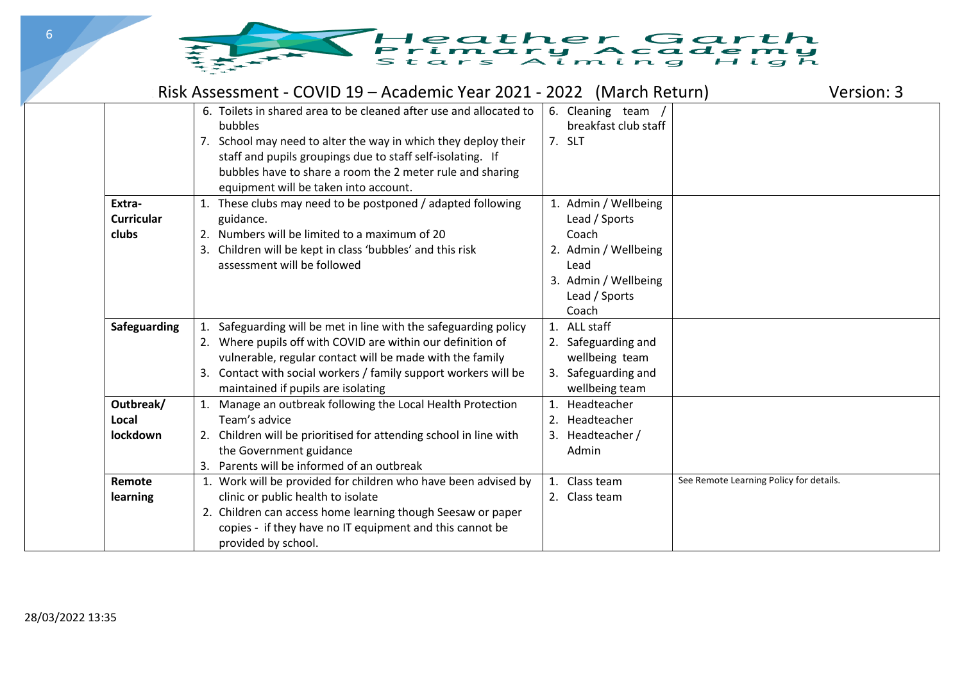

|                                      | Risk Assessment - COVID 19 – Academic Year 2021 - 2022 (March Return)                                                                                                                                                                                                                                               |                                                                                                                                  | Version: 3                              |
|--------------------------------------|---------------------------------------------------------------------------------------------------------------------------------------------------------------------------------------------------------------------------------------------------------------------------------------------------------------------|----------------------------------------------------------------------------------------------------------------------------------|-----------------------------------------|
|                                      | 6. Toilets in shared area to be cleaned after use and allocated to<br>bubbles<br>7. School may need to alter the way in which they deploy their<br>staff and pupils groupings due to staff self-isolating. If<br>bubbles have to share a room the 2 meter rule and sharing<br>equipment will be taken into account. | 6. Cleaning team /<br>breakfast club staff<br>7. SLT                                                                             |                                         |
| Extra-<br><b>Curricular</b><br>clubs | 1. These clubs may need to be postponed / adapted following<br>guidance.<br>Numbers will be limited to a maximum of 20<br>2.<br>3. Children will be kept in class 'bubbles' and this risk<br>assessment will be followed                                                                                            | 1. Admin / Wellbeing<br>Lead / Sports<br>Coach<br>2. Admin / Wellbeing<br>Lead<br>3. Admin / Wellbeing<br>Lead / Sports<br>Coach |                                         |
| <b>Safeguarding</b>                  | Safeguarding will be met in line with the safeguarding policy<br>1.<br>2. Where pupils off with COVID are within our definition of<br>vulnerable, regular contact will be made with the family<br>Contact with social workers / family support workers will be<br>maintained if pupils are isolating                | 1. ALL staff<br>2. Safeguarding and<br>wellbeing team<br>3. Safeguarding and<br>wellbeing team                                   |                                         |
| Outbreak/<br>Local<br>lockdown       | Manage an outbreak following the Local Health Protection<br>Team's advice<br>2. Children will be prioritised for attending school in line with<br>the Government guidance<br>Parents will be informed of an outbreak                                                                                                | 1. Headteacher<br>2. Headteacher<br>3. Headteacher /<br>Admin                                                                    |                                         |
| Remote<br>learning                   | 1. Work will be provided for children who have been advised by<br>clinic or public health to isolate<br>2. Children can access home learning though Seesaw or paper<br>copies - if they have no IT equipment and this cannot be<br>provided by school.                                                              | 1. Class team<br>2. Class team                                                                                                   | See Remote Learning Policy for details. |